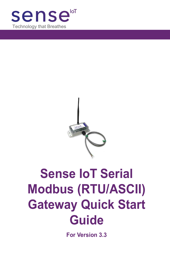



# **Sense IoT Serial Modbus (RTU/ASCII) Gateway Quick Start Guide**

**For Version 3.3**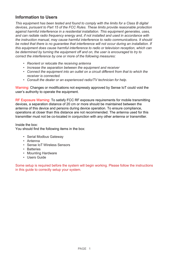## **Information to Users**

*This equipment has been tested and found to comply with the limits for a Class B digital devices, pursuant to Part 15 of the FCC Rules. These limits provide reasonable protection against harmful interference in a residential installation. This equipment generates, uses, and can radiate radio frequency energy and, if not installed and used in accordance with the instruction manual, may cause harmful interference to radio communications. It should*  be noted that there is no quarantee that interference will not occur during an installation. If *this equipment does cause harmful interference to radio or television reception, which can*  be determined by turning the equipment off and on, the user is encouraged to try to *correct the interference by one or more of the following measures:*

- *• Reorient or relocate the receiving antenna*
- *• Increase the separation between the equipment and receiver*
- *• Connect the equipment into an outlet on a circuit different from that to which the receiver is connected.*
- *• Consult the dealer or an experienced radio/TV technician for help.*

Warning: Changes or modifications not expressly approved by Sense IoT could void the user's authority to operate the equipment.

RF Exposure Warning: To satisfy FCC RF exposure requirements for mobile transmitting devices, a separation distance of 20 cm or more should be maintained between the antenna of this device and persons during device operation. To ensure compliance, operations at closer than this distance are not recommended. The antenna used for this transmitter must not be co-located in conjunction with any other antenna or transmitter.

#### Inside the box:

You should find the following items in the box:

- Serial Modbus Gateway
- Antenna
- Sense IoT Wireless Sensors
- Batteries
- Mounting Hardware
- Users Guide

Some setup is required before the system will begin working. Please follow the instructions in this guide to correctly setup your system.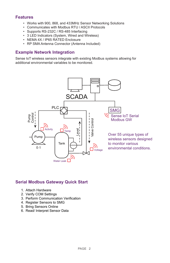## **Features**

- Works with 900, 868, and 433MHz Sensor Networking Solutions
- Communicates with Modbus RTU / ASCII Protocols
- Supports RS-232C / RS-485 Interfacing
- 3 LED Indicators (System, Wired and Wireless)
- NEMA 4X / IP65 RATED Enclosure
- RP SMA Antenna Connector (Antenna Included)

#### **Example Network Integration**

Sense IoT wireless sensors integrate with existing Modbus systems allowing for additional environmental variables to be monitored.



#### **Serial Modbus Gateway Quick Start**

- 1. Attach Hardware
- 2. Verify COM Settings
- 3. Perform Communication Verification
- 4. Register Sensors to SMG
- 5. Bring Sensors Online
- 6. Read/ Interpret Sensor Data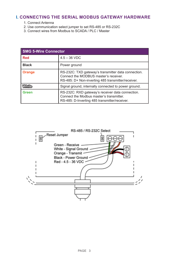## **I. CONNECTING THE SERIAL MODBUS GATEWAY HARDWARE**

- 1. Connect Antenna
- 2. Use communication select jumper to set RS-485 or RS-232C
- 3. Connect wires from Modbus to SCADA / PLC / Master

| <b>SMG 5-Wire Connector</b> |                                                                                                                                                    |  |
|-----------------------------|----------------------------------------------------------------------------------------------------------------------------------------------------|--|
| <b>Red</b>                  | $4.5 - 36$ VDC                                                                                                                                     |  |
| <b>Black</b>                | Power ground                                                                                                                                       |  |
| <b>Orange</b>               | RS-232C: TXD gateway's transmitter data connection.<br>Connect the MODBUS master's receiver.<br>RS-485: D+ Non-inverting 485 transmitter/receiver. |  |
| <b>MHIp</b>                 | Signal ground, internally connected to power ground.                                                                                               |  |
| Green                       | RS-232C: RXD gateway's receiver data connection.<br>Connect the Modbus master's transmitter.<br>RS-485: D-Inverting 485 transmitter/receiver.      |  |

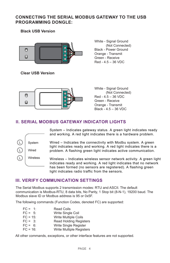## **CONNECTING THE SERIAL MODBUS GATEWAY TO THE USB PROGRAMMING DONGLE:**

**Black USB Version**



**Clear USB Version**

White - Signal Ground (Not Connected) Black - Power Ground Orange - Transmit Green - Receive Red - 4.5 – 36 VDC



White - Signal Ground (Not Connected)  $Red - 4.5 - 36 VDC$ Green - Receive Orange - Transmit Black - 4.5 – 36 VDC

# **II. SERIAL MODBUS GATEWAY INDICATOR LIGHTS**



System – Indicates gateway status. A green light indicates ready and working. A red light indicates there is a hardware problem.

Wired – Indicates the connectivity with Modbu system. A green light indicates ready and working. A red light indicates there is a problem. A flashing green light indicates active communication.

Wireless – Indicates wireless sensor network activity. A green light indicates ready and working. A red light indicates that no network has been formed (no sensors are registered). A flashing green light indicates radio traffic from the sensors.

# **III. VERIFY COMMUNICATION SETTINGS**

The Serial Modbus supports 2 transmission modes: RTU and ASCII. The default communication is Modbus-RTU, 8 data bits, No Parity, 1 Stop bit (8-N-1), 19200 baud. The Modbus slave ID or Modbus address is 95 or 0x5F.

The following commands (Function Codes, denoted FC) are supported:

- $FC = 1$ : Read Coils
- FC = 5: Write Single Coil<br>FC = 15: Write Multiple Co
- Write Multiple Coils
- FC = 3: Read Holding Registers
- FC = 6: Write Single Register
- FC = 16: Write Multiple Registers

All other commands, exceptions, or other interface features are not supported.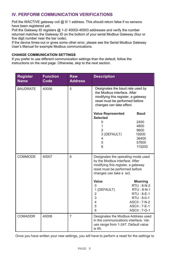#### **IV. PERFORM COMMUNICATION VERIFICATIONS**

Poll the WACTIVE gateway coil @ 0/ 1 address. This should return false if no sensors have been registered yet.

Poll the Gateway ID registers @ 1-2/ 40002-40003 addresses and verify the number returned matches the Gateway ID on the bottom of your serial Modbus Gateway (four or five digit number near the bar code).

If the device times-out or gives some other error, please see the Serial Modbus Gateway User's Manual for example Modbus communications.

#### **CHANGE COMMUNICATION SETTINGS**

If you prefer to use different communication settings than the default, follow the instructions on the next page. Otherwise, skip to the next section.

| <b>Register</b><br><b>Name</b> | <b>Function</b><br>Code | <b>Raw</b><br><b>Address</b> | <b>Description</b>                                                                                                                                                                                                            |
|--------------------------------|-------------------------|------------------------------|-------------------------------------------------------------------------------------------------------------------------------------------------------------------------------------------------------------------------------|
| <b>BAUDRATE</b>                | 40006                   | 5                            | Designates the baud rate used by<br>the Modbus interface. After<br>modifying this register, a gateway<br>reset must be performed before<br>changes can take effect.                                                           |
|                                |                         |                              | <b>Baud</b><br><b>Value Represented</b><br><b>Selected</b><br>2400<br>0<br>1<br>4800<br>$\overline{2}$<br>9600<br>3 (DEFAULT)<br>19200<br>36400<br>4<br>5<br>57600<br>6<br>115200                                             |
| COMMODE                        | 40007                   | 6                            | Designates the operating mode used<br>by the Modbus interface. After<br>modifying this register, a gateway<br>reset must be performed before<br>changes can take e ect.                                                       |
|                                |                         |                              | Value<br><b>Meaning</b><br>RTU: 8-N-2<br>0<br>1 (DEFAULT)<br>RTU: 8-N-1<br>$\overline{2}$<br>$RTU: 8-E-1$<br>3<br>RTU: 8-0-1<br>$\overline{4}$<br><b>ASCII: 7-N-2</b><br>5<br><b>ASCII: 7-E-1</b><br>6<br><b>ASCII: 7-0-1</b> |
| <b>COMADDR</b>                 | 40008                   | $\overline{7}$               | Designates the Modbus Address used<br>in the communications interface. Val-<br>ues range from 1-247. Default value<br>is 95.                                                                                                  |

Once you have written your new settings, you will have to perform a reset for the settings to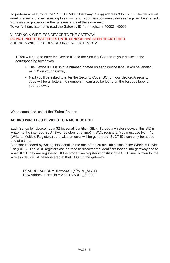To perform a reset, write the "RST\_DEVICE" Gateway Coil @ address 3 to TRUE. The device will reset one second after receiving this command. Your new communication settings will be in effect. You can also power cycle the gateway and get the same result. To verify them, attempt to read the Gateway ID from registers 40002 - 40003.

V. ADDING A WIRELESS DEVICE TO THE GATEWAY DO NOT INSERT BATTERIES UNTIL SENSOR HAS BEEN REGISTERED. ADDING A WIRELESS DEVICE ON SENSE IOT PORTAL.

**1.** You will need to enter the Device ID and the Security Code from your device in the corresponding text boxes.

- The Device ID is a unique number logated on each device label. It will be labeled as "ID" on your gateway.
- Next you'll be asked to enter the Security Code (SC) on your device. A security code will be all letters, no numbers. It can also be found on the barcode label of your gateway.

When completed, select the "Submit" button.

#### **ADDING WIRELESS DEVICES TO A MODBUS POLL**

Each Sense IoT device has a 32-bit serial identifier (SID). To add a wireless device, this SID is written to the intended SLOT (two registers at a time) in WDL registers. You must use FC = 16 (Write to Multiple Registers) otherwise an error will be generated. SLOT IDs can only be added one at a time.

A sensor is added by writing this identifier into one of the 50 available slots in the Wireless Device List (WDL). The WDL registers can be read to discover the identifiers loaded into gateway and to what SLOT they are registered. If the proper two registers constituting a SLOT are written to, the wireless device will be registered at that SLOT in the gateway.

FCADDRESSFORMULA=2001+(4\*WDL\_SLOT) Raw Address Formula = 2000+(4\*WDL\_SLOT)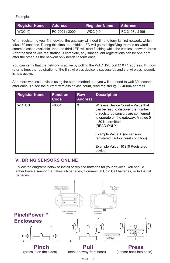Example:

| <b>Register Name</b> | <b>Address</b> | <b>Register Name</b> | <b>Address</b> |
|----------------------|----------------|----------------------|----------------|
| WDC [0]              | FC 2001 / 2000 | $ $ WDC [49]         | FC 2197 / 2196 |

When registering your first device, the gateway will need time to form its first network, which takes 30 seconds. During this time, the middle LED will go red signifying there is no wired communication available, then the third LED will start flashing while the wireless network forms. After the first device registration is complete, any subsequent registrations can be one right after the other, as the network only needs to form once.

You can verify that the network is active by polling the WACTIVE coil  $@0/1$  address. If it now returns true, the registration of the first wireless device is successful, and the wireless network is now active.

Add more wireless devices using the same method, but you will not need to wait 30 seconds after each. To see the current wireless device count, read register  $@$  3 / 40004 address.

| <b>Register Name</b> | <b>Function</b><br>Code | <b>Raw</b><br><b>Address</b> | <b>Description</b>                                                                                                                                                                            |
|----------------------|-------------------------|------------------------------|-----------------------------------------------------------------------------------------------------------------------------------------------------------------------------------------------|
| WD CNT               | 40004                   | 3                            | Wireless Device Count - Value that<br>can be read to discover the number<br>of registered sensors are configured<br>to operate on the gateway. A value 0<br>- 50 is permitted.<br>(READ ONLY) |
|                      |                         |                              | Example Value: 0 (no sensors<br>registered, factory reset condition)                                                                                                                          |
|                      |                         |                              | Example Value: 10 (10 Registered<br>device)                                                                                                                                                   |

#### **VI. BRING SENSORS ONLINE**

Follow the diagrams below to install or replace batteries for your devices. You should either have a sensor that takes AA batteries, Commercial Coin Cell batteries, or Industrial batteries.

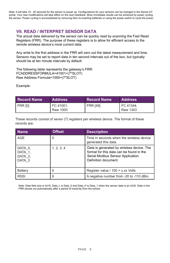Note: It will take 10 - 20 seconds for the sensor to power up. Configurations for your sensors can be changed in the Sense IoT portal. Your new modifications will take effect on the next heartbeat. More immediate results can be achieved by power cycling the sensor. Power cycling is accomplished by removing then re-inserting batteries or using the power switch to cycle the power.

# **VII. READ / INTERPRET SENSOR DATA**

The actual data delivered by the sensor can be quickly read by scanning the Fast Read Registers (FRR). The purpose of these registers is to allow for efficient access to the remote wireless device's most current data.

Any write to the first address in the FRR will zero out the latest measurement and time. Sensors may be set to report data in ten second intervals out of the box, but typically should be at ten minute intervals by default.

The following table represents the gateway's FRR: FCADDRESSFORMULA=41001+(7\*SLOT) Raw Address Formula=1000+(7\*SLOT)

Example:

| <b>Record Name</b> | <b>Address</b>        | <b>Record Name</b> | <b>Address</b>          |
|--------------------|-----------------------|--------------------|-------------------------|
| FRR [0]            | FC 41001,<br>Raw 1000 | <b>FRR [49]</b>    | I FC 41344.<br>Raw 1343 |

These records consist of seven (7) registers per wireless device. The format of these records are:

| <b>Name</b>                             | <b>Offset</b> | <b>Description</b>                                                                                                                                |
|-----------------------------------------|---------------|---------------------------------------------------------------------------------------------------------------------------------------------------|
| AGE                                     | 0             | Time in seconds when the wireless device<br>generated this data.                                                                                  |
| DATA 0,<br>DATA 1.<br>DATA 2.<br>DATA 3 | 1, 2, 3, 4    | Data is generated by wireless device. The<br>format for this data can be found in the<br>Serial Modbus Sensor Application<br>Definition document. |
| <b>Battery</b>                          | 5             | Register value / $100 = x.xx$ Volts                                                                                                               |
| <b>RSSI</b>                             | 6             | A negative number from -20 to -110 dBm                                                                                                            |

Note: Data field size is Int16. Data L is Data 0 and Data H is Data 1 when the sensor data is an Int32. Data in the FRR zeroes out automatically after a period of inactivity from the sensor.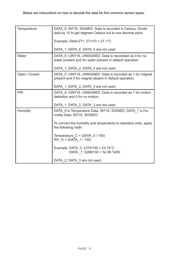| Temperature   | DATA 0: INT16, SIGNED. Data is recorded in Celsius. Divide<br>data by 10 to get degrees Celsius out to one decimal point. |
|---------------|---------------------------------------------------------------------------------------------------------------------------|
|               | Example: Data=271. 271/10 = $27.1^{\circ}$ C                                                                              |
|               | DATA 1, DATA 2, DATA 3 are not used.                                                                                      |
| Water         | DATA 0: UINT16, UNSIGNED. Data is recoreded as 0 for no<br>water present and for water present in default operation.      |
|               | DATA 1, DATA_2, DATA_3 are not used.                                                                                      |
| Open / Closed | DATA 0: UINT16, UNSIGNED. Data is recorded as 1 for magnet<br>present and 0 for magnet absent in default operation.       |
|               | DATA 1, DATA 2, DATA 3 are not used.                                                                                      |
| <b>PIR</b>    | DATA 0: UINT16, UNSIGNED. Data is recorded as 1 for motion<br>detection and 0 for no motion.                              |
|               | DATA 1, DATA 2, DATA 3 are not used.                                                                                      |
| Humidity      | DATA 0 is Temperature Data, INT16, SIGNED, DATA 1 is Hu-<br>midity Data. INT16. SIGNED.                                   |
|               | To convert the humidity and temperature to standard units, apply<br>the following math:                                   |
|               | Temperature $C = (DATA 0 / 100)$<br>RH $% = (DATA 1/100)$                                                                 |
|               | Example: DATA 0: 2374/100 = 23.74 °C<br>DATA 1: 5289/100 = 52.89 %RH                                                      |
|               | DATA 2, DATA 3 are not used.                                                                                              |